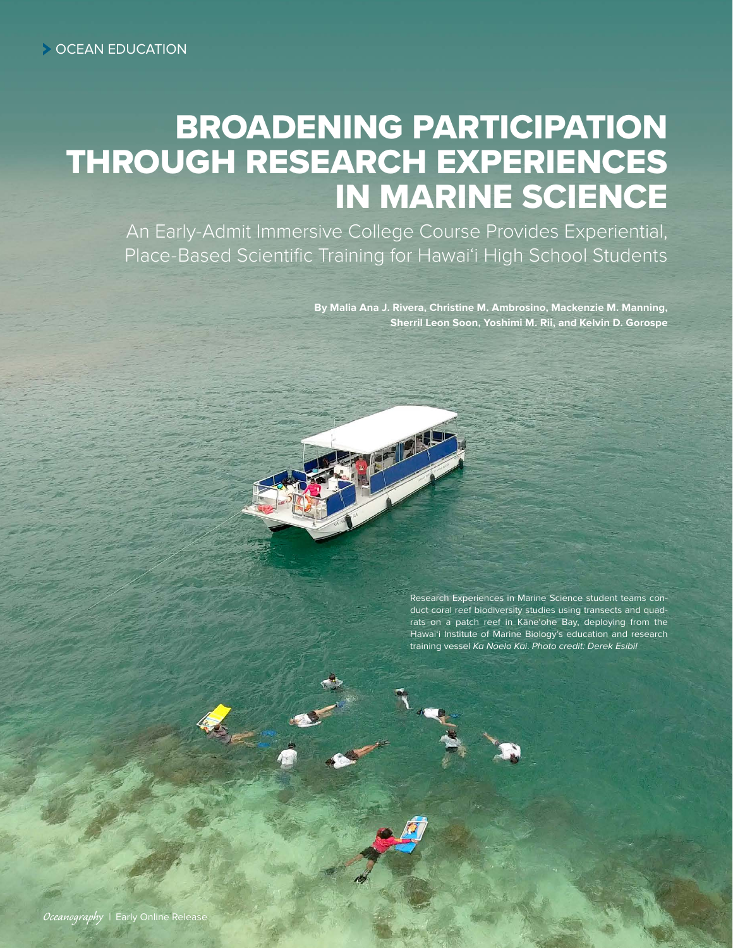# BROADENING PARTICIPATION THROUGH RESEARCH EXPERIENCES IN MARINE SCIENCE

An Early-Admit Immersive College Course Provides Experiential, Place-Based Scientific Training for Hawai'i High School Students

> **By Malia Ana J. Rivera, Christine M. Ambrosino, Mackenzie M. Manning, Sherril Leon Soon, Yoshimi M. Rii, and Kelvin D. Gorospe**

> > Research Experiences in Marine Science student teams conduct coral reef biodiversity studies using transects and quadrats on a patch reef in Kāne'ohe Bay, deploying from the Hawai'i Institute of Marine Biology's education and research training vessel *Ka Noelo Kai*. *Photo credit: Derek Esibil*

RAS CENTS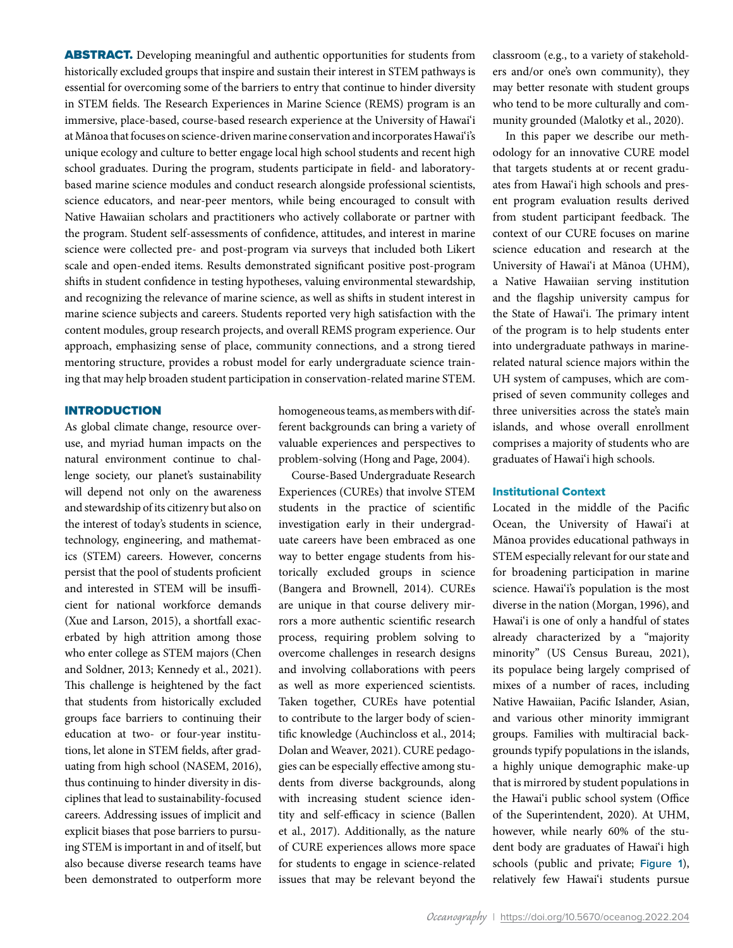ABSTRACT. Developing meaningful and authentic opportunities for students from historically excluded groups that inspire and sustain their interest in STEM pathways is essential for overcoming some of the barriers to entry that continue to hinder diversity in STEM fields. The Research Experiences in Marine Science (REMS) program is an immersive, place-based, course-based research experience at the University of Hawai'i at Mānoa that focuses on science-driven marine conservation and incorporates Hawai'i's unique ecology and culture to better engage local high school students and recent high school graduates. During the program, students participate in field- and laboratorybased marine science modules and conduct research alongside professional scientists, science educators, and near-peer mentors, while being encouraged to consult with Native Hawaiian scholars and practitioners who actively collaborate or partner with the program. Student self-assessments of confidence, attitudes, and interest in marine science were collected pre- and post-program via surveys that included both Likert scale and open-ended items. Results demonstrated significant positive post-program shifts in student confidence in testing hypotheses, valuing environmental stewardship, and recognizing the relevance of marine science, as well as shifts in student interest in marine science subjects and careers. Students reported very high satisfaction with the content modules, group research projects, and overall REMS program experience. Our approach, emphasizing sense of place, community connections, and a strong tiered mentoring structure, provides a robust model for early undergraduate science training that may help broaden student participation in conservation-related marine STEM.

## INTRODUCTION

As global climate change, resource overuse, and myriad human impacts on the natural environment continue to challenge society, our planet's sustainability will depend not only on the awareness and stewardship of its citizenry but also on the interest of today's students in science, technology, engineering, and mathematics (STEM) careers. However, concerns persist that the pool of students proficient and interested in STEM will be insufficient for national workforce demands (Xue and Larson, 2015), a shortfall exacerbated by high attrition among those who enter college as STEM majors (Chen and Soldner, 2013; Kennedy et al., 2021). This challenge is heightened by the fact that students from historically excluded groups face barriers to continuing their education at two- or four-year institutions, let alone in STEM fields, after graduating from high school (NASEM, 2016), thus continuing to hinder diversity in disciplines that lead to sustainability-focused careers. Addressing issues of implicit and explicit biases that pose barriers to pursuing STEM is important in and of itself, but also because diverse research teams have been demonstrated to outperform more homogeneous teams, as members with different backgrounds can bring a variety of valuable experiences and perspectives to problem-solving (Hong and Page, 2004).

Course-Based Undergraduate Research Experiences (CUREs) that involve STEM students in the practice of scientific investigation early in their undergraduate careers have been embraced as one way to better engage students from historically excluded groups in science (Bangera and Brownell, 2014). CUREs are unique in that course delivery mirrors a more authentic scientific research process, requiring problem solving to overcome challenges in research designs and involving collaborations with peers as well as more experienced scientists. Taken together, CUREs have potential to contribute to the larger body of scientific knowledge (Auchincloss et al., 2014; Dolan and Weaver, 2021). CURE pedagogies can be especially effective among students from diverse backgrounds, along with increasing student science identity and self-efficacy in science (Ballen et al., 2017). Additionally, as the nature of CURE experiences allows more space for students to engage in science-related issues that may be relevant beyond the classroom (e.g., to a variety of stakeholders and/or one's own community), they may better resonate with student groups who tend to be more culturally and community grounded (Malotky et al., 2020).

In this paper we describe our methodology for an innovative CURE model that targets students at or recent graduates from Hawai'i high schools and present program evaluation results derived from student participant feedback. The context of our CURE focuses on marine science education and research at the University of Hawai'i at Mānoa (UHM), a Native Hawaiian serving institution and the flagship university campus for the State of Hawai'i. The primary intent of the program is to help students enter into undergraduate pathways in marinerelated natural science majors within the UH system of campuses, which are comprised of seven community colleges and three universities across the state's main islands, and whose overall enrollment comprises a majority of students who are graduates of Hawai'i high schools.

## Institutional Context

Located in the middle of the Pacific Ocean, the University of Hawai'i at Mānoa provides educational pathways in STEM especially relevant for our state and for broadening participation in marine science. Hawai'i's population is the most diverse in the nation (Morgan, 1996), and Hawai'i is one of only a handful of states already characterized by a "majority minority" (US Census Bureau, 2021), its populace being largely comprised of mixes of a number of races, including Native Hawaiian, Pacific Islander, Asian, and various other minority immigrant groups. Families with multiracial backgrounds typify populations in the islands, a highly unique demographic make-up that is mirrored by student populations in the Hawai'i public school system (Office of the Superintendent, 2020). At UHM, however, while nearly 60% of the student body are graduates of Hawai'i high schools (public and private; **Figure 1**), relatively few Hawai'i students pursue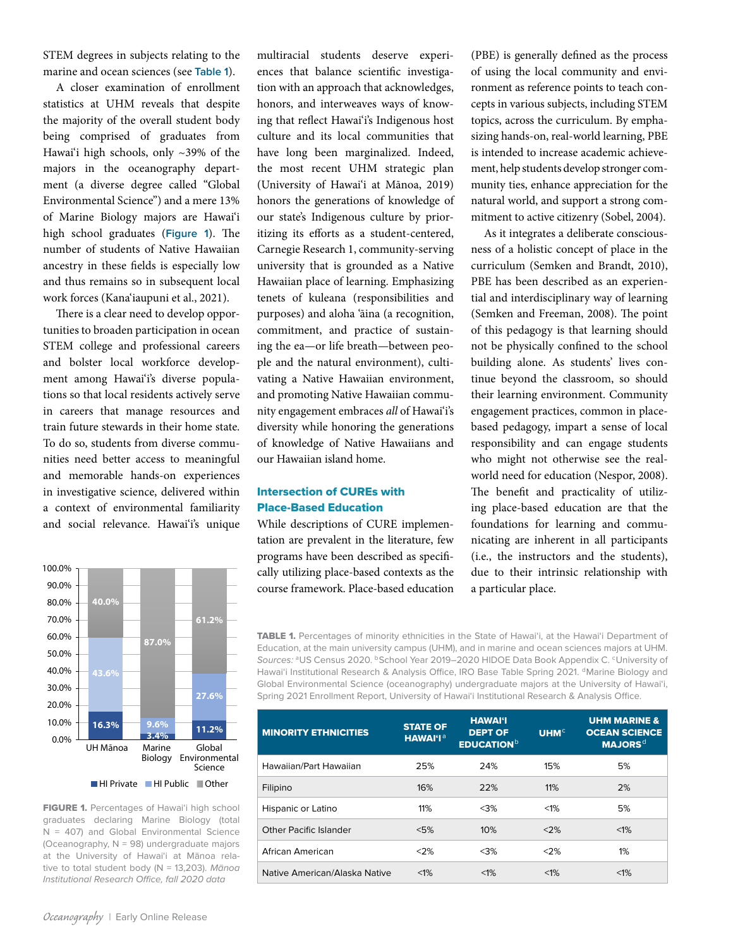STEM degrees in subjects relating to the marine and ocean sciences (see **Table 1**).

A closer examination of enrollment statistics at UHM reveals that despite the majority of the overall student body being comprised of graduates from Hawai'i high schools, only ~39% of the majors in the oceanography department (a diverse degree called "Global Environmental Science") and a mere 13% of Marine Biology majors are Hawai'i high school graduates (**Figure 1**). The number of students of Native Hawaiian ancestry in these fields is especially low and thus remains so in subsequent local work forces (Kana'iaupuni et al., 2021).

There is a clear need to develop opportunities to broaden participation in ocean STEM college and professional careers and bolster local workforce development among Hawai'i's diverse populations so that local residents actively serve in careers that manage resources and train future stewards in their home state. To do so, students from diverse communities need better access to meaningful and memorable hands-on experiences in investigative science, delivered within a context of environmental familiarity and social relevance. Hawai'i's unique



FIGURE 1. Percentages of Hawai'i high school graduates declaring Marine Biology (total  $N = 407$ ) and Global Environmental Science (Oceanography,  $N = 98$ ) undergraduate majors at the University of Hawai'i at Mānoa relative to total student body (N = 13,203). *Mānoa Institutional Research Office, fall 2020 data*

multiracial students deserve experiences that balance scientific investigation with an approach that acknowledges, honors, and interweaves ways of knowing that reflect Hawai'i's Indigenous host culture and its local communities that have long been marginalized. Indeed, the most recent UHM strategic plan (University of Hawai'i at Mānoa, 2019) honors the generations of knowledge of our state's Indigenous culture by prioritizing its efforts as a student-centered, Carnegie Research 1, community-serving university that is grounded as a Native Hawaiian place of learning. Emphasizing tenets of kuleana (responsibilities and purposes) and aloha 'āina (a recognition, commitment, and practice of sustaining the ea*—*or life breath—between people and the natural environment), cultivating a Native Hawaiian environment, and promoting Native Hawaiian community engagement embraces *all* of Hawai'i's diversity while honoring the generations of knowledge of Native Hawaiians and our Hawaiian island home.

# Intersection of CUREs with Place-Based Education

While descriptions of CURE implementation are prevalent in the literature, few programs have been described as specifically utilizing place-based contexts as the course framework. Place-based education (PBE) is generally defined as the process of using the local community and environment as reference points to teach concepts in various subjects, including STEM topics, across the curriculum. By emphasizing hands-on, real-world learning, PBE is intended to increase academic achievement, help students develop stronger community ties, enhance appreciation for the natural world, and support a strong commitment to active citizenry (Sobel, 2004).

As it integrates a deliberate consciousness of a holistic concept of place in the curriculum (Semken and Brandt, 2010), PBE has been described as an experiential and interdisciplinary way of learning (Semken and Freeman, 2008). The point of this pedagogy is that learning should not be physically confined to the school building alone. As students' lives continue beyond the classroom, so should their learning environment. Community engagement practices, common in placebased pedagogy, impart a sense of local responsibility and can engage students who might not otherwise see the realworld need for education (Nespor, 2008). The benefit and practicality of utilizing place-based education are that the foundations for learning and communicating are inherent in all participants (i.e., the instructors and the students), due to their intrinsic relationship with a particular place.

TABLE 1. Percentages of minority ethnicities in the State of Hawai'i, at the Hawai'i Department of Education, at the main university campus (UHM), and in marine and ocean sciences majors at UHM. Sources: <sup>a</sup>US Census 2020. **bSchool Year 2019–2020 HIDOE Data Book Appendix C. <sup>c</sup>University of** Hawai'i Institutional Research & Analysis Office, IRO Base Table Spring 2021. <sup>d</sup>Marine Biology and Global Environmental Science (oceanography) undergraduate majors at the University of Hawai'i, Spring 2021 Enrollment Report, University of Hawai'i Institutional Research & Analysis Office.

| <b>MINORITY ETHNICITIES</b>   | <b>STATE OF</b><br><b>HAWAI'I<sup>a</sup></b> | <b>HAWAI'I</b><br><b>DEPT OF</b><br><b>EDUCATION</b> <sup>b</sup> | UHM <sup>c</sup> | <b>UHM MARINE &amp;</b><br><b>OCEAN SCIENCE</b><br><b>MAJORS<sup>d</sup></b> |
|-------------------------------|-----------------------------------------------|-------------------------------------------------------------------|------------------|------------------------------------------------------------------------------|
| Hawaiian/Part Hawaiian        | 25%                                           | 24%                                                               | 15%              | 5%                                                                           |
| Filipino                      | 16%                                           | 22%                                                               | 11%              | 2%                                                                           |
| Hispanic or Latino            | 11%                                           | $<$ 3%                                                            | $< 1\%$          | 5%                                                                           |
| Other Pacific Islander        | < 5%                                          | 10%                                                               | <2%              | $< 1\%$                                                                      |
| African American              | $<$ 2%                                        | $<$ 3%                                                            | $<$ 2%           | 1%                                                                           |
| Native American/Alaska Native | $< 1\%$                                       | $< 1\%$                                                           | $< 1\%$          | $< 1\%$                                                                      |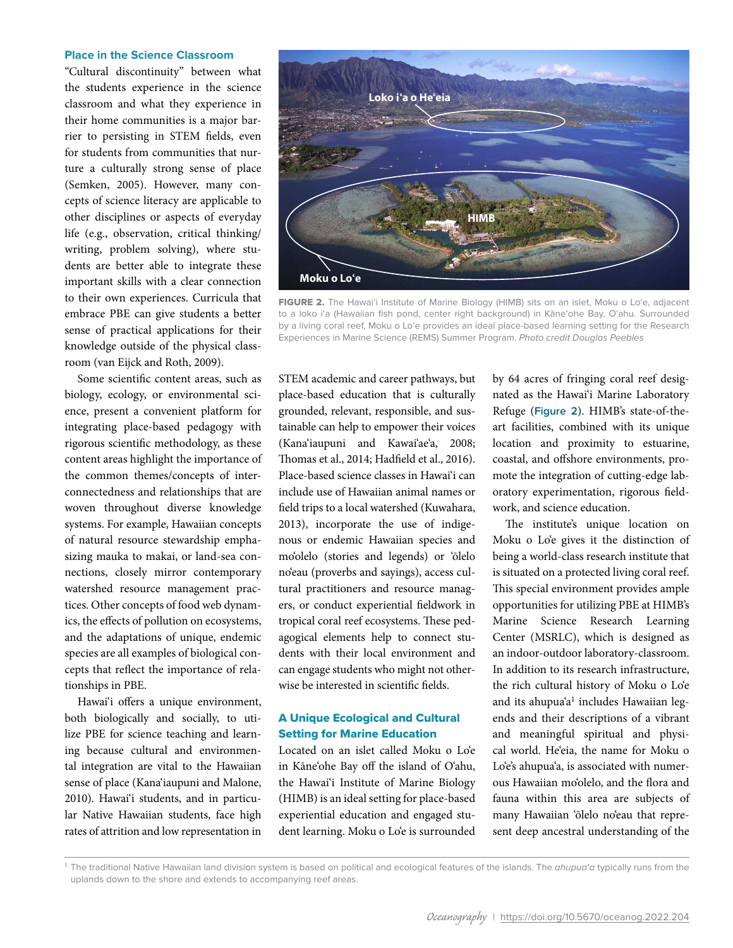## **Place in the Science Classroom**

"Cultural discontinuity" between what the students experience in the science classroom and what they experience in their home communities is a major barrier to persisting in STEM fields, even for students from communities that nurture a culturally strong sense of place (Semken, 2005). However, many concepts of science literacy are applicable to other disciplines or aspects of everyday life (e.g., observation, critical thinking/ writing, problem solving), where students are better able to integrate these important skills with a clear connection to their own experiences. Curricula that embrace PBE can give students a better sense of practical applications for their knowledge outside of the physical classroom (van Eijck and Roth, 2009).

Some scientific content areas, such as biology, ecology, or environmental science, present a convenient platform for integrating place-based pedagogy with rigorous scientific methodology, as these content areas highlight the importance of the common themes/concepts of interconnectedness and relationships that are woven throughout diverse knowledge systems. For example, Hawaiian concepts of natural resource stewardship emphasizing mauka to makai, or land-sea connections, closely mirror contemporary watershed resource management practices. Other concepts of food web dynamics, the effects of pollution on ecosystems, and the adaptations of unique, endemic species are all examples of biological concepts that reflect the importance of relationships in PBE.

Hawai'i offers a unique environment, both biologically and socially, to utilize PBE for science teaching and learning because cultural and environmental integration are vital to the Hawaiian sense of place (Kana'iaupuni and Malone, 2010). Hawai'i students, and in particular Native Hawaiian students, face high rates of attrition and low representation in



FIGURE 2. The Hawai'i Institute of Marine Biology (HIMB) sits on an islet, Moku o Lo'e, adjacent to a loko i'a (Hawaiian fish pond, center right background) in Kāne'ohe Bay, O'ahu. Surrounded by a living coral reef, Moku o Lo'e provides an ideal place-based learning setting for the Research Experiences in Marine Science (REMS) Summer Program. *Photo credit Douglas Peebles*

STEM academic and career pathways, but place-based education that is culturally grounded, relevant, responsible, and sustainable can help to empower their voices (Kana'iaupuni and Kawai'ae'a, 2008; Thomas et al., 2014; Hadfield et al., 2016). Place-based science classes in Hawai'i can include use of Hawaiian animal names or field trips to a local watershed (Kuwahara, 2013), incorporate the use of indigenous or endemic Hawaiian species and mo'olelo (stories and legends) or 'ōlelo no'eau (proverbs and sayings), access cultural practitioners and resource managers, or conduct experiential fieldwork in tropical coral reef ecosystems. These pedagogical elements help to connect students with their local environment and can engage students who might not otherwise be interested in scientific fields.

# A Unique Ecological and Cultural Setting for Marine Education

Located on an islet called Moku o Lo'e in Kāne'ohe Bay off the island of O'ahu, the Hawai'i Institute of Marine Biology (HIMB) is an ideal setting for place-based experiential education and engaged student learning. Moku o Lo'e is surrounded by 64 acres of fringing coral reef designated as the Hawai'i Marine Laboratory Refuge (**Figure 2**). HIMB's state-of-theart facilities, combined with its unique location and proximity to estuarine, coastal, and offshore environments, promote the integration of cutting-edge laboratory experimentation, rigorous fieldwork, and science education.

The institute's unique location on Moku o Lo'e gives it the distinction of being a world-class research institute that is situated on a protected living coral reef. This special environment provides ample opportunities for utilizing PBE at HIMB's Marine Science Research Learning Center (MSRLC), which is designed as an indoor-outdoor laboratory-classroom. In addition to its research infrastructure, the rich cultural history of Moku o Lo'e and its ahupua'a<sup>1</sup> includes Hawaiian legends and their descriptions of a vibrant and meaningful spiritual and physical world. He'eia, the name for Moku o Lo'e's ahupua'a, is associated with numerous Hawaiian mo'olelo, and the flora and fauna within this area are subjects of many Hawaiian 'ōlelo no'eau that represent deep ancestral understanding of the

<sup>1</sup> The traditional Native Hawaiian land division system is based on political and ecological features of the islands. The *ahupua'a* typically runs from the uplands down to the shore and extends to accompanying reef areas.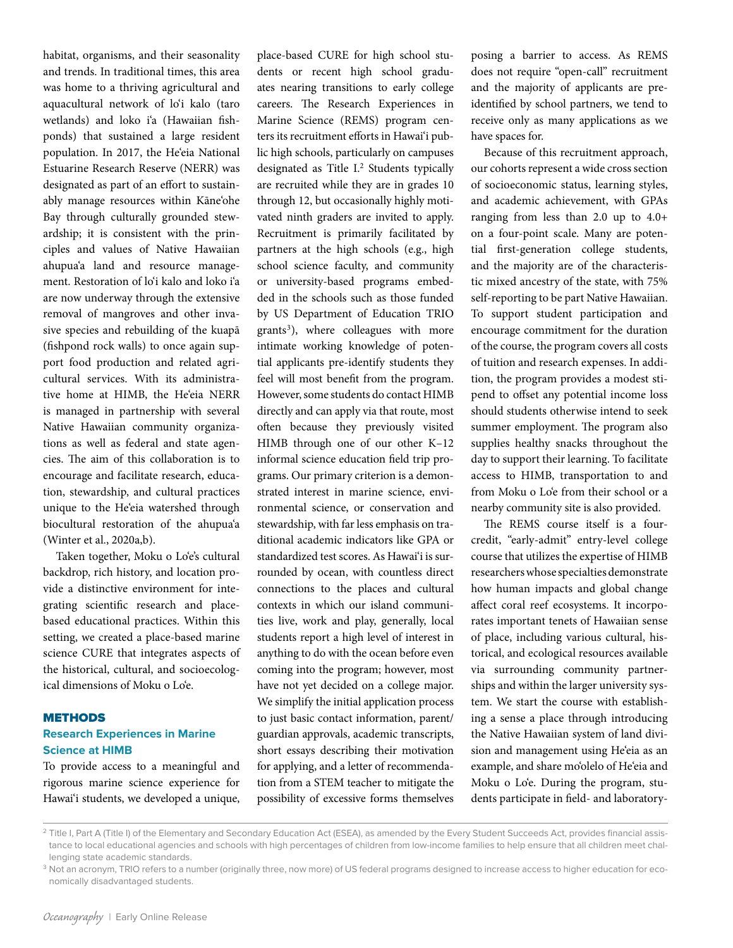habitat, organisms, and their seasonality and trends. In traditional times, this area was home to a thriving agricultural and aquacultural network of lo'i kalo (taro wetlands) and loko i'a (Hawaiian fishponds) that sustained a large resident population. In 2017, the He'eia National Estuarine Research Reserve (NERR) was designated as part of an effort to sustainably manage resources within Kāne'ohe Bay through culturally grounded stewardship; it is consistent with the principles and values of Native Hawaiian ahupua'a land and resource management. Restoration of lo'i kalo and loko i'a are now underway through the extensive removal of mangroves and other invasive species and rebuilding of the kuapā (fishpond rock walls) to once again support food production and related agricultural services. With its administrative home at HIMB, the He'eia NERR is managed in partnership with several Native Hawaiian community organizations as well as federal and state agencies. The aim of this collaboration is to encourage and facilitate research, education, stewardship, and cultural practices unique to the He'eia watershed through biocultural restoration of the ahupua'a (Winter et al., 2020a,b).

Taken together, Moku o Lo'e's cultural backdrop, rich history, and location provide a distinctive environment for integrating scientific research and placebased educational practices. Within this setting, we created a place-based marine science CURE that integrates aspects of the historical, cultural, and socioecological dimensions of Moku o Lo'e.

## **METHODS Research Experiences in Marine Science at HIMB**

To provide access to a meaningful and rigorous marine science experience for Hawai'i students, we developed a unique, place-based CURE for high school students or recent high school graduates nearing transitions to early college careers. The Research Experiences in Marine Science (REMS) program centers its recruitment efforts in Hawai'i public high schools, particularly on campuses designated as Title I.<sup>2</sup> Students typically are recruited while they are in grades 10 through 12, but occasionally highly motivated ninth graders are invited to apply. Recruitment is primarily facilitated by partners at the high schools (e.g., high school science faculty, and community or university-based programs embedded in the schools such as those funded by US Department of Education TRIO  $grants<sup>3</sup>$ ), where colleagues with more intimate working knowledge of potential applicants pre-identify students they feel will most benefit from the program. However, some students do contact HIMB directly and can apply via that route, most often because they previously visited HIMB through one of our other K–12 informal science education field trip programs. Our primary criterion is a demonstrated interest in marine science, environmental science, or conservation and stewardship, with far less emphasis on traditional academic indicators like GPA or standardized test scores. As Hawai'i is surrounded by ocean, with countless direct connections to the places and cultural contexts in which our island communities live, work and play, generally, local students report a high level of interest in anything to do with the ocean before even coming into the program; however, most have not yet decided on a college major. We simplify the initial application process to just basic contact information, parent/ guardian approvals, academic transcripts, short essays describing their motivation for applying, and a letter of recommendation from a STEM teacher to mitigate the possibility of excessive forms themselves

posing a barrier to access. As REMS does not require "open-call" recruitment and the majority of applicants are preidentified by school partners, we tend to receive only as many applications as we have spaces for.

Because of this recruitment approach, our cohorts represent a wide cross section of socioeconomic status, learning styles, and academic achievement, with GPAs ranging from less than 2.0 up to 4.0+ on a four-point scale. Many are potential first-generation college students, and the majority are of the characteristic mixed ancestry of the state, with 75% self-reporting to be part Native Hawaiian. To support student participation and encourage commitment for the duration of the course, the program covers all costs of tuition and research expenses. In addition, the program provides a modest stipend to offset any potential income loss should students otherwise intend to seek summer employment. The program also supplies healthy snacks throughout the day to support their learning. To facilitate access to HIMB, transportation to and from Moku o Lo'e from their school or a nearby community site is also provided.

The REMS course itself is a fourcredit, "early-admit" entry-level college course that utilizes the expertise of HIMB researchers whose specialties demonstrate how human impacts and global change affect coral reef ecosystems. It incorporates important tenets of Hawaiian sense of place, including various cultural, historical, and ecological resources available via surrounding community partnerships and within the larger university system. We start the course with establishing a sense a place through introducing the Native Hawaiian system of land division and management using He'eia as an example, and share mo'olelo of He'eia and Moku o Lo'e. During the program, students participate in field- and laboratory-

<sup>&</sup>lt;sup>2</sup> Title I, Part A (Title I) of the Elementary and Secondary Education Act (ESEA), as amended by the Every Student Succeeds Act, provides financial assistance to local educational agencies and schools with high percentages of children from low-income families to help ensure that all children meet challenging state academic standards.

<sup>&</sup>lt;sup>3</sup> Not an acronym, TRIO refers to a number (originally three, now more) of US federal programs designed to increase access to higher education for economically disadvantaged students.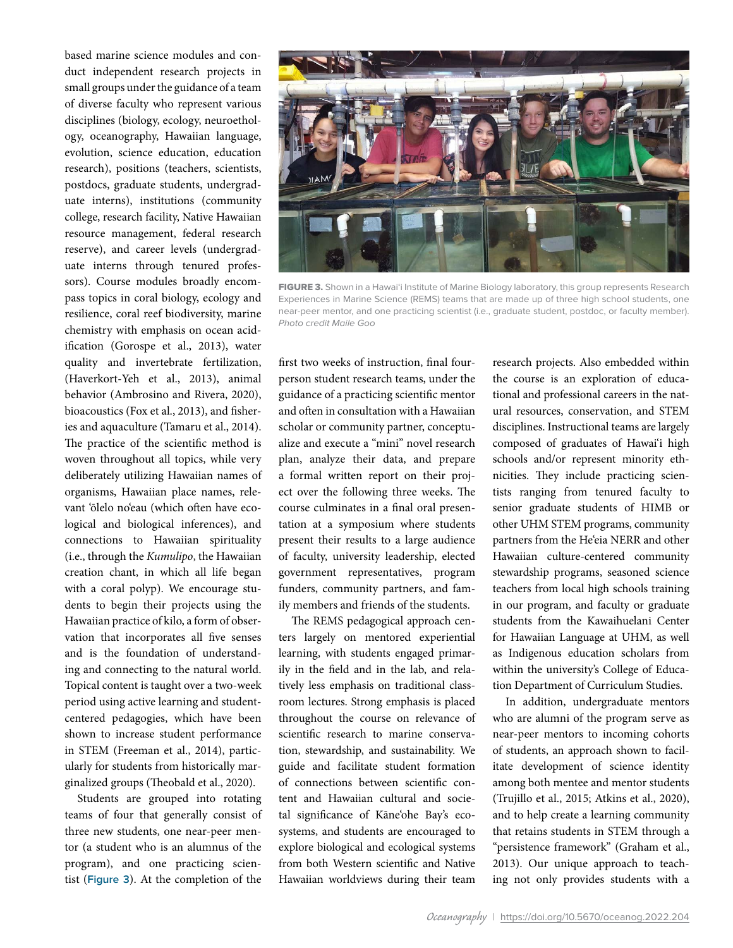based marine science modules and conduct independent research projects in small groups under the guidance of a team of diverse faculty who represent various disciplines (biology, ecology, neuroethology, oceanography, Hawaiian language, evolution, science education, education research), positions (teachers, scientists, postdocs, graduate students, undergraduate interns), institutions (community college, research facility, Native Hawaiian resource management, federal research reserve), and career levels (undergraduate interns through tenured professors). Course modules broadly encompass topics in coral biology, ecology and resilience, coral reef biodiversity, marine chemistry with emphasis on ocean acidification (Gorospe et al., 2013), water quality and invertebrate fertilization, (Haverkort-Yeh et al., 2013), animal behavior (Ambrosino and Rivera, 2020), bioacoustics (Fox et al., 2013), and fisheries and aquaculture (Tamaru et al., 2014). The practice of the scientific method is woven throughout all topics, while very deliberately utilizing Hawaiian names of organisms, Hawaiian place names, relevant 'ōlelo no'eau (which often have ecological and biological inferences), and connections to Hawaiian spirituality (i.e., through the *Kumulipo*, the Hawaiian creation chant, in which all life began with a coral polyp). We encourage students to begin their projects using the Hawaiian practice of kilo, a form of observation that incorporates all five senses and is the foundation of understanding and connecting to the natural world. Topical content is taught over a two-week period using active learning and studentcentered pedagogies, which have been shown to increase student performance in STEM (Freeman et al., 2014), particularly for students from historically marginalized groups (Theobald et al., 2020).

Students are grouped into rotating teams of four that generally consist of three new students, one near-peer mentor (a student who is an alumnus of the program), and one practicing scientist (**Figure 3**). At the completion of the



FIGURE 3. Shown in a Hawai'i Institute of Marine Biology laboratory, this group represents Research Experiences in Marine Science (REMS) teams that are made up of three high school students, one near-peer mentor, and one practicing scientist (i.e., graduate student, postdoc, or faculty member). *Photo credit Maile Goo*

first two weeks of instruction, final fourperson student research teams, under the guidance of a practicing scientific mentor and often in consultation with a Hawaiian scholar or community partner, conceptualize and execute a "mini" novel research plan, analyze their data, and prepare a formal written report on their project over the following three weeks. The course culminates in a final oral presentation at a symposium where students present their results to a large audience of faculty, university leadership, elected government representatives, program funders, community partners, and family members and friends of the students.

The REMS pedagogical approach centers largely on mentored experiential learning, with students engaged primarily in the field and in the lab, and relatively less emphasis on traditional classroom lectures. Strong emphasis is placed throughout the course on relevance of scientific research to marine conservation, stewardship, and sustainability. We guide and facilitate student formation of connections between scientific content and Hawaiian cultural and societal significance of Kāne'ohe Bay's ecosystems, and students are encouraged to explore biological and ecological systems from both Western scientific and Native Hawaiian worldviews during their team research projects. Also embedded within the course is an exploration of educational and professional careers in the natural resources, conservation, and STEM disciplines. Instructional teams are largely composed of graduates of Hawai'i high schools and/or represent minority ethnicities. They include practicing scientists ranging from tenured faculty to senior graduate students of HIMB or other UHM STEM programs, community partners from the He'eia NERR and other Hawaiian culture-centered community stewardship programs, seasoned science teachers from local high schools training in our program, and faculty or graduate students from the Kawaihuelani Center for Hawaiian Language at UHM, as well as Indigenous education scholars from within the university's College of Education Department of Curriculum Studies.

In addition, undergraduate mentors who are alumni of the program serve as near-peer mentors to incoming cohorts of students, an approach shown to facilitate development of science identity among both mentee and mentor students (Trujillo et al., 2015; Atkins et al., 2020), and to help create a learning community that retains students in STEM through a "persistence framework" (Graham et al., 2013). Our unique approach to teaching not only provides students with a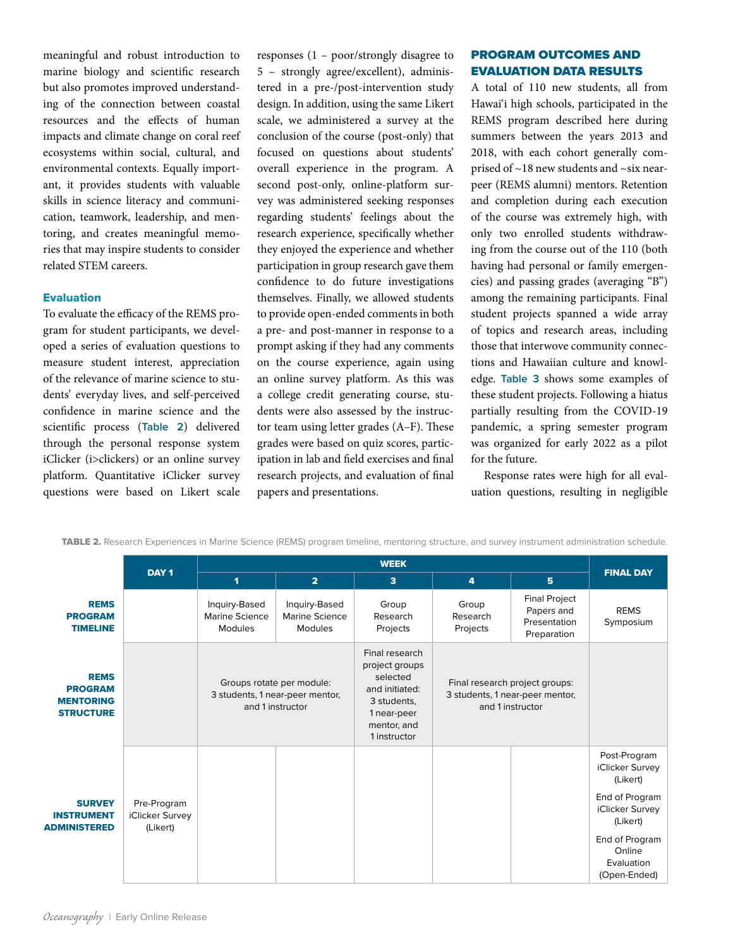meaningful and robust introduction to marine biology and scientific research but also promotes improved understanding of the connection between coastal resources and the effects of human impacts and climate change on coral reef ecosystems within social, cultural, and environmental contexts. Equally important, it provides students with valuable skills in science literacy and communication, teamwork, leadership, and mentoring, and creates meaningful memories that may inspire students to consider related STEM careers.

## Evaluation

To evaluate the efficacy of the REMS program for student participants, we developed a series of evaluation questions to measure student interest, appreciation of the relevance of marine science to students' everyday lives, and self-perceived confidence in marine science and the scientific process (**Table 2**) delivered through the personal response system iClicker (i>clickers) or an online survey platform. Quantitative iClicker survey questions were based on Likert scale responses (1 – poor/strongly disagree to 5 – strongly agree/excellent), administered in a pre-/post-intervention study design. In addition, using the same Likert scale, we administered a survey at the conclusion of the course (post-only) that focused on questions about students' overall experience in the program. A second post-only, online-platform survey was administered seeking responses regarding students' feelings about the research experience, specifically whether they enjoyed the experience and whether participation in group research gave them confidence to do future investigations themselves. Finally, we allowed students to provide open-ended comments in both a pre- and post-manner in response to a prompt asking if they had any comments on the course experience, again using an online survey platform. As this was a college credit generating course, students were also assessed by the instructor team using letter grades (A–F). These grades were based on quiz scores, participation in lab and field exercises and final research projects, and evaluation of final papers and presentations.

# PROGRAM OUTCOMES AND EVALUATION DATA RESULTS

A total of 110 new students, all from Hawai'i high schools, participated in the REMS program described here during summers between the years 2013 and 2018, with each cohort generally comprised of ~18 new students and ~six nearpeer (REMS alumni) mentors. Retention and completion during each execution of the course was extremely high, with only two enrolled students withdrawing from the course out of the 110 (both having had personal or family emergencies) and passing grades (averaging "B") among the remaining participants. Final student projects spanned a wide array of topics and research areas, including those that interwove community connections and Hawaiian culture and knowledge. **Table 3** shows some examples of these student projects. Following a hiatus partially resulting from the COVID-19 pandemic, a spring semester program was organized for early 2022 as a pilot for the future.

Response rates were high for all evaluation questions, resulting in negligible

|                                                                       | DAY <sub>1</sub>                           | <b>WEEK</b>                                |                                                                                  |                                                                                                                             |                                                                                       |                                                                   |                                                                                                                                                        |
|-----------------------------------------------------------------------|--------------------------------------------|--------------------------------------------|----------------------------------------------------------------------------------|-----------------------------------------------------------------------------------------------------------------------------|---------------------------------------------------------------------------------------|-------------------------------------------------------------------|--------------------------------------------------------------------------------------------------------------------------------------------------------|
|                                                                       |                                            | 1                                          | $\overline{2}$                                                                   | $\overline{\mathbf{3}}$                                                                                                     | 4                                                                                     | 5 <sup>5</sup>                                                    | <b>FINAL DAY</b>                                                                                                                                       |
| <b>REMS</b><br><b>PROGRAM</b><br><b>TIMELINE</b>                      |                                            | Inquiry-Based<br>Marine Science<br>Modules | Inquiry-Based<br>Marine Science<br><b>Modules</b>                                | Group<br>Research<br>Projects                                                                                               | Group<br>Research<br>Projects                                                         | <b>Final Project</b><br>Papers and<br>Presentation<br>Preparation | <b>REMS</b><br>Symposium                                                                                                                               |
| <b>REMS</b><br><b>PROGRAM</b><br><b>MENTORING</b><br><b>STRUCTURE</b> |                                            |                                            | Groups rotate per module:<br>3 students, 1 near-peer mentor,<br>and 1 instructor | Final research<br>project groups<br>selected<br>and initiated:<br>3 students,<br>1 near-peer<br>mentor, and<br>1 instructor | Final research project groups:<br>3 students, 1 near-peer mentor,<br>and 1 instructor |                                                                   |                                                                                                                                                        |
| <b>SURVEY</b><br><b>INSTRUMENT</b><br><b>ADMINISTERED</b>             | Pre-Program<br>iClicker Survey<br>(Likert) |                                            |                                                                                  |                                                                                                                             |                                                                                       |                                                                   | Post-Program<br>iClicker Survey<br>(Likert)<br>End of Program<br>iClicker Survey<br>(Likert)<br>End of Program<br>Online<br>Evaluation<br>(Open-Ended) |

TABLE 2. Research Experiences in Marine Science (REMS) program timeline, mentoring structure, and survey instrument administration schedule.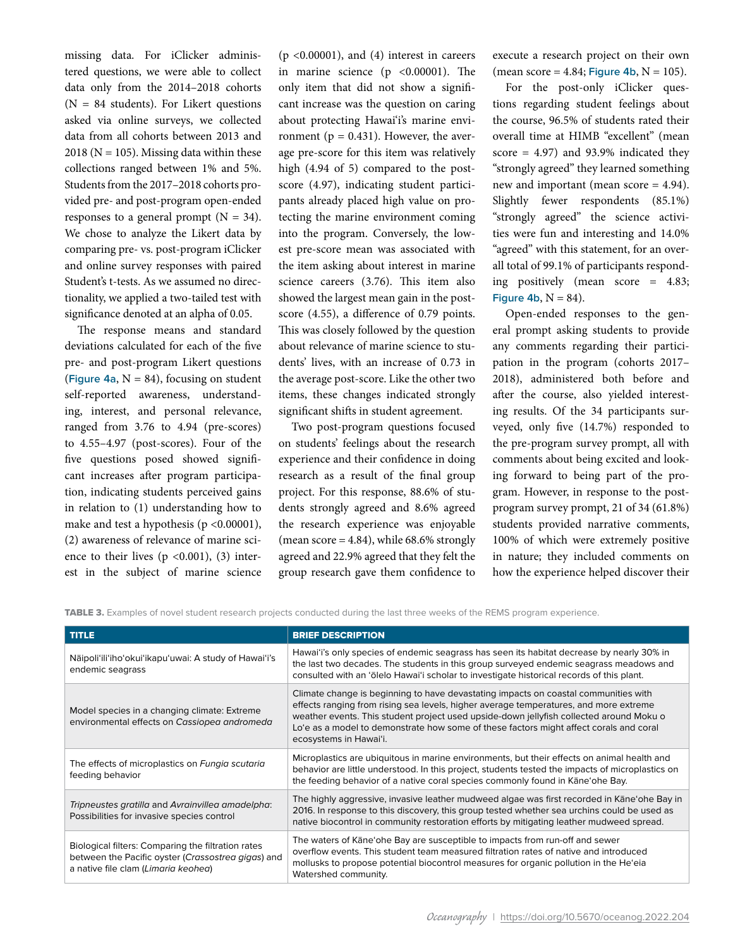missing data. For iClicker administered questions, we were able to collect data only from the 2014–2018 cohorts  $(N = 84$  students). For Likert questions asked via online surveys, we collected data from all cohorts between 2013 and  $2018$  (N = 105). Missing data within these collections ranged between 1% and 5%. Students from the 2017–2018 cohorts provided pre- and post-program open-ended responses to a general prompt  $(N = 34)$ . We chose to analyze the Likert data by comparing pre- vs. post-program iClicker and online survey responses with paired Student's t-tests. As we assumed no directionality, we applied a two-tailed test with significance denoted at an alpha of 0.05.

The response means and standard deviations calculated for each of the five pre- and post-program Likert questions (**Figure 4a,**  $N = 84$ ), focusing on student self-reported awareness, understanding, interest, and personal relevance, ranged from 3.76 to 4.94 (pre-scores) to 4.55–4.97 (post-scores). Four of the five questions posed showed significant increases after program participation, indicating students perceived gains in relation to (1) understanding how to make and test a hypothesis ( $p \le 0.00001$ ), (2) awareness of relevance of marine science to their lives  $(p \le 0.001)$ ,  $(3)$  interest in the subject of marine science (p <0.00001), and (4) interest in careers in marine science (p <0.00001). The only item that did not show a significant increase was the question on caring about protecting Hawai'i's marine environment ( $p = 0.431$ ). However, the average pre-score for this item was relatively high (4.94 of 5) compared to the postscore (4.97), indicating student participants already placed high value on protecting the marine environment coming into the program. Conversely, the lowest pre-score mean was associated with the item asking about interest in marine science careers (3.76). This item also showed the largest mean gain in the postscore (4.55), a difference of 0.79 points. This was closely followed by the question about relevance of marine science to students' lives, with an increase of 0.73 in the average post-score. Like the other two items, these changes indicated strongly significant shifts in student agreement.

Two post-program questions focused on students' feelings about the research experience and their confidence in doing research as a result of the final group project. For this response, 88.6% of students strongly agreed and 8.6% agreed the research experience was enjoyable (mean score  $= 4.84$ ), while 68.6% strongly agreed and 22.9% agreed that they felt the group research gave them confidence to execute a research project on their own (mean score =  $4.84$ ; Figure  $4b$ ,  $N = 105$ ).

For the post-only iClicker questions regarding student feelings about the course, 96.5% of students rated their overall time at HIMB "excellent" (mean score  $= 4.97$ ) and 93.9% indicated they "strongly agreed" they learned something new and important (mean score = 4.94). Slightly fewer respondents (85.1%) "strongly agreed" the science activities were fun and interesting and 14.0% "agreed" with this statement, for an overall total of 99.1% of participants responding positively (mean score = 4.83; Figure  $4b$ ,  $N = 84$ ).

Open-ended responses to the general prompt asking students to provide any comments regarding their participation in the program (cohorts 2017– 2018), administered both before and after the course, also yielded interesting results. Of the 34 participants surveyed, only five (14.7%) responded to the pre-program survey prompt, all with comments about being excited and looking forward to being part of the program. However, in response to the postprogram survey prompt, 21 of 34 (61.8%) students provided narrative comments, 100% of which were extremely positive in nature; they included comments on how the experience helped discover their

TABLE 3. Examples of novel student research projects conducted during the last three weeks of the REMS program experience.

| <b>TITLE</b>                                                                                                                                    | <b>BRIEF DESCRIPTION</b>                                                                                                                                                                                                                                                                                                                                                                    |
|-------------------------------------------------------------------------------------------------------------------------------------------------|---------------------------------------------------------------------------------------------------------------------------------------------------------------------------------------------------------------------------------------------------------------------------------------------------------------------------------------------------------------------------------------------|
| Nāipoli'ili'iho'okui'ikapu'uwai: A study of Hawai'i's<br>endemic seagrass                                                                       | Hawai'i's only species of endemic seagrass has seen its habitat decrease by nearly 30% in<br>the last two decades. The students in this group surveyed endemic seagrass meadows and<br>consulted with an 'ōlelo Hawai'i scholar to investigate historical records of this plant.                                                                                                            |
| Model species in a changing climate: Extreme<br>environmental effects on Cassiopea andromeda                                                    | Climate change is beginning to have devastating impacts on coastal communities with<br>effects ranging from rising sea levels, higher average temperatures, and more extreme<br>weather events. This student project used upside-down jellyfish collected around Moku o<br>Lo'e as a model to demonstrate how some of these factors might affect corals and coral<br>ecosystems in Hawai'i. |
| The effects of microplastics on Fungia scutaria<br>feeding behavior                                                                             | Microplastics are ubiquitous in marine environments, but their effects on animal health and<br>behavior are little understood. In this project, students tested the impacts of microplastics on<br>the feeding behavior of a native coral species commonly found in Kane'ohe Bay.                                                                                                           |
| Tripneustes gratilla and Avrainvillea amadelpha:<br>Possibilities for invasive species control                                                  | The highly aggressive, invasive leather mudweed algae was first recorded in Kāne'ohe Bay in<br>2016. In response to this discovery, this group tested whether sea urchins could be used as<br>native biocontrol in community restoration efforts by mitigating leather mudweed spread.                                                                                                      |
| Biological filters: Comparing the filtration rates<br>between the Pacific oyster (Crassostrea gigas) and<br>a native file clam (Limaria keohea) | The waters of Kane'ohe Bay are susceptible to impacts from run-off and sewer<br>overflow events. This student team measured filtration rates of native and introduced<br>mollusks to propose potential biocontrol measures for organic pollution in the He'eia<br>Watershed community.                                                                                                      |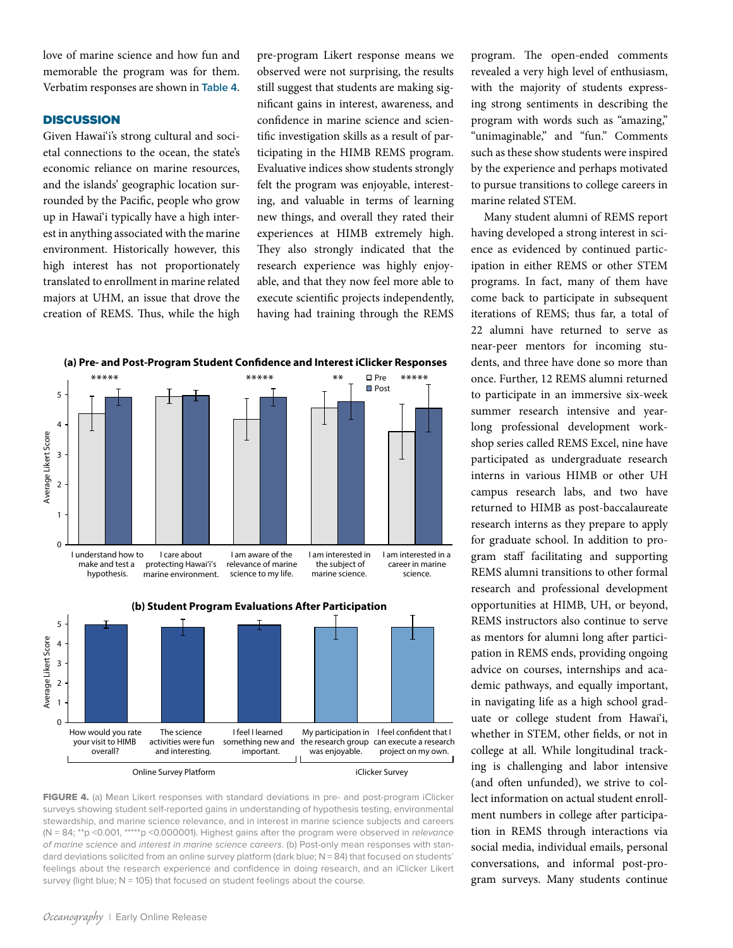love of marine science and how fun and memorable the program was for them. Verbatim responses are shown in **Table 4**.

## **DISCUSSION**

Given Hawai'i's strong cultural and societal connections to the ocean, the state's economic reliance on marine resources, and the islands' geographic location surrounded by the Pacific, people who grow up in Hawai'i typically have a high interest in anything associated with the marine environment. Historically however, this high interest has not proportionately translated to enrollment in marine related majors at UHM, an issue that drove the creation of REMS. Thus, while the high pre-program Likert response means we observed were not surprising, the results still suggest that students are making significant gains in interest, awareness, and confidence in marine science and scientific investigation skills as a result of participating in the HIMB REMS program. Evaluative indices show students strongly felt the program was enjoyable, interesting, and valuable in terms of learning new things, and overall they rated their experiences at HIMB extremely high. They also strongly indicated that the research experience was highly enjoyable, and that they now feel more able to execute scientific projects independently, having had training through the REMS





FIGURE 4. (a) Mean Likert responses with standard deviations in pre- and post-program iClicker surveys showing student self-reported gains in understanding of hypothesis testing, environmental stewardship, and marine science relevance, and in interest in marine science subjects and careers (N = 84; \*\*p <0.001, \*\*\*\*\*p <0.000001). Highest gains after the program were observed in *relevance of marine science* and *interest in marine science careers*. (b) Post-only mean responses with standard deviations solicited from an online survey platform (dark blue; N = 84) that focused on students' feelings about the research experience and confidence in doing research, and an iClicker Likert survey (light blue; N = 105) that focused on student feelings about the course.

program. The open-ended comments revealed a very high level of enthusiasm, with the majority of students expressing strong sentiments in describing the program with words such as "amazing," "unimaginable," and "fun." Comments such as these show students were inspired by the experience and perhaps motivated to pursue transitions to college careers in marine related STEM.

Many student alumni of REMS report having developed a strong interest in science as evidenced by continued participation in either REMS or other STEM programs. In fact, many of them have come back to participate in subsequent iterations of REMS; thus far, a total of 22 alumni have returned to serve as near-peer mentors for incoming students, and three have done so more than once. Further, 12 REMS alumni returned to participate in an immersive six-week summer research intensive and yearlong professional development workshop series called REMS Excel, nine have participated as undergraduate research interns in various HIMB or other UH campus research labs, and two have returned to HIMB as post-baccalaureate research interns as they prepare to apply for graduate school. In addition to program staff facilitating and supporting REMS alumni transitions to other formal research and professional development opportunities at HIMB, UH, or beyond, REMS instructors also continue to serve as mentors for alumni long after participation in REMS ends, providing ongoing advice on courses, internships and academic pathways, and equally important, in navigating life as a high school graduate or college student from Hawai'i, whether in STEM, other fields, or not in college at all. While longitudinal tracking is challenging and labor intensive (and often unfunded), we strive to collect information on actual student enrollment numbers in college after participation in REMS through interactions via social media, individual emails, personal conversations, and informal post-program surveys. Many students continue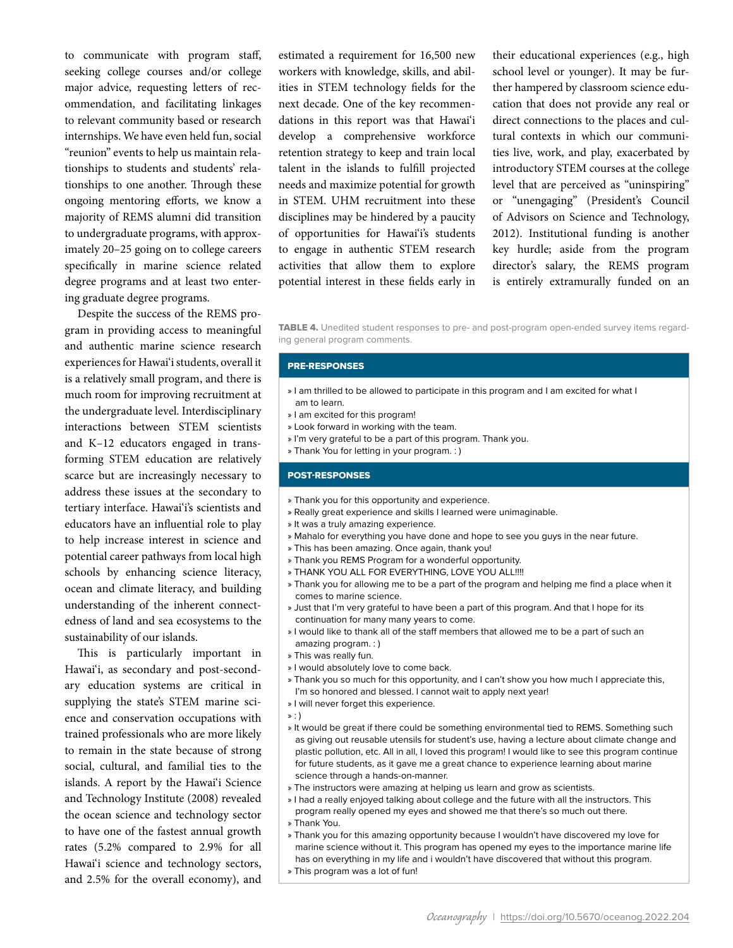to communicate with program staff, seeking college courses and/or college major advice, requesting letters of recommendation, and facilitating linkages to relevant community based or research internships. We have even held fun, social "reunion" events to help us maintain relationships to students and students' relationships to one another. Through these ongoing mentoring efforts, we know a majority of REMS alumni did transition to undergraduate programs, with approximately 20–25 going on to college careers specifically in marine science related degree programs and at least two entering graduate degree programs.

Despite the success of the REMS program in providing access to meaningful and authentic marine science research experiences for Hawai'i students, overall it is a relatively small program, and there is much room for improving recruitment at the undergraduate level. Interdisciplinary interactions between STEM scientists and K–12 educators engaged in transforming STEM education are relatively scarce but are increasingly necessary to address these issues at the secondary to tertiary interface. Hawai'i's scientists and educators have an influential role to play to help increase interest in science and potential career pathways from local high schools by enhancing science literacy, ocean and climate literacy, and building understanding of the inherent connectedness of land and sea ecosystems to the sustainability of our islands.

This is particularly important in Hawai'i, as secondary and post-secondary education systems are critical in supplying the state's STEM marine science and conservation occupations with trained professionals who are more likely to remain in the state because of strong social, cultural, and familial ties to the islands. A report by the Hawai'i Science and Technology Institute (2008) revealed the ocean science and technology sector to have one of the fastest annual growth rates (5.2% compared to 2.9% for all Hawai'i science and technology sectors, and 2.5% for the overall economy), and

estimated a requirement for 16,500 new workers with knowledge, skills, and abilities in STEM technology fields for the next decade. One of the key recommendations in this report was that Hawai'i develop a comprehensive workforce retention strategy to keep and train local talent in the islands to fulfill projected needs and maximize potential for growth in STEM. UHM recruitment into these disciplines may be hindered by a paucity of opportunities for Hawai'i's students to engage in authentic STEM research activities that allow them to explore potential interest in these fields early in

their educational experiences (e.g., high school level or younger). It may be further hampered by classroom science education that does not provide any real or direct connections to the places and cultural contexts in which our communities live, work, and play, exacerbated by introductory STEM courses at the college level that are perceived as "uninspiring" or "unengaging" (President's Council of Advisors on Science and Technology, 2012). Institutional funding is another key hurdle; aside from the program director's salary, the REMS program is entirely extramurally funded on an

TABLE 4. Unedited student responses to pre- and post-program open-ended survey items regarding general program comments.

#### PRE-RESPONSES

- » I am thrilled to be allowed to participate in this program and I am excited for what I am to learn.
- » I am excited for this program!
- » Look forward in working with the team.
- » I'm very grateful to be a part of this program. Thank you.
- » Thank You for letting in your program. : )

#### POST-RESPONSES

- » Thank you for this opportunity and experience.
- » Really great experience and skills I learned were unimaginable.
- » It was a truly amazing experience.
- » Mahalo for everything you have done and hope to see you guys in the near future.
- » This has been amazing. Once again, thank you!
- » Thank you REMS Program for a wonderful opportunity.
- » THANK YOU ALL FOR EVERYTHING, LOVE YOU ALL!!!!
- » Thank you for allowing me to be a part of the program and helping me find a place when it comes to marine science.
- » Just that I'm very grateful to have been a part of this program. And that I hope for its continuation for many many years to come.
- » I would like to thank all of the staff members that allowed me to be a part of such an amazing program. : )
- » This was really fun.
- » I would absolutely love to come back.
- » Thank you so much for this opportunity, and I can't show you how much I appreciate this, I'm so honored and blessed. I cannot wait to apply next year!
- » I will never forget this experience.
- » : )
- » It would be great if there could be something environmental tied to REMS. Something such as giving out reusable utensils for student's use, having a lecture about climate change and plastic pollution, etc. All in all, I loved this program! I would like to see this program continue for future students, as it gave me a great chance to experience learning about marine science through a hands-on-manner.
- » The instructors were amazing at helping us learn and grow as scientists.
- » I had a really enjoyed talking about college and the future with all the instructors. This program really opened my eyes and showed me that there's so much out there.
- » Thank You.

» Thank you for this amazing opportunity because I wouldn't have discovered my love for marine science without it. This program has opened my eyes to the importance marine life has on everything in my life and i wouldn't have discovered that without this program. » This program was a lot of fun!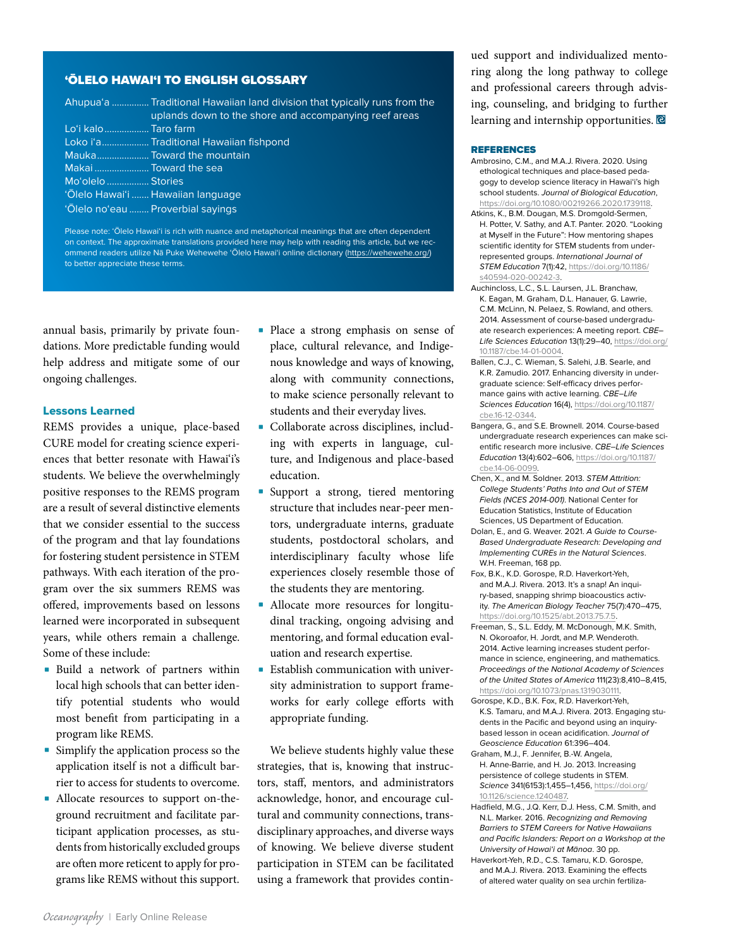## 'ŌLELO HAWAI'I TO ENGLISH GLOSSARY

|                       | Ahupua'a  Traditional Hawaiian land division that typically runs from the<br>uplands down to the shore and accompanying reef areas |
|-----------------------|------------------------------------------------------------------------------------------------------------------------------------|
|                       |                                                                                                                                    |
| Lo'i kalo Taro farm   |                                                                                                                                    |
|                       | Loko i'a Traditional Hawaiian fishpond                                                                                             |
|                       | Mauka Toward the mountain                                                                                                          |
| Makai  Toward the sea |                                                                                                                                    |
| Mo'olelo  Stories     |                                                                                                                                    |
|                       | 'Olelo Hawai'i  Hawaiian language                                                                                                  |
|                       | 'Olelo no'eau  Proverbial sayings                                                                                                  |

Please note: 'Ōlelo Hawai'i is rich with nuance and metaphorical meanings that are often dependent on context. The approximate translations provided here may help with reading this article, but we recommend readers utilize Nā Puke Wehewehe 'Ōlelo Hawai'i online dictionary [\(https://wehewehe.org/\)](https://wehewehe.org/) to better appreciate these terms.

annual basis, primarily by private foundations. More predictable funding would help address and mitigate some of our ongoing challenges.

#### Lessons Learned

REMS provides a unique, place-based CURE model for creating science experiences that better resonate with Hawai'i's students. We believe the overwhelmingly positive responses to the REMS program are a result of several distinctive elements that we consider essential to the success of the program and that lay foundations for fostering student persistence in STEM pathways. With each iteration of the program over the six summers REMS was offered, improvements based on lessons learned were incorporated in subsequent years, while others remain a challenge. Some of these include:

- Build a network of partners within local high schools that can better identify potential students who would most benefit from participating in a program like REMS.
- Simplify the application process so the application itself is not a difficult barrier to access for students to overcome.
- Allocate resources to support on-theground recruitment and facilitate participant application processes, as students from historically excluded groups are often more reticent to apply for programs like REMS without this support.
- Place a strong emphasis on sense of place, cultural relevance, and Indigenous knowledge and ways of knowing, along with community connections, to make science personally relevant to students and their everyday lives.
- Collaborate across disciplines, including with experts in language, culture, and Indigenous and place-based education.
- Support a strong, tiered mentoring structure that includes near-peer mentors, undergraduate interns, graduate students, postdoctoral scholars, and interdisciplinary faculty whose life experiences closely resemble those of the students they are mentoring.
- Allocate more resources for longitudinal tracking, ongoing advising and mentoring, and formal education evaluation and research expertise.
- Establish communication with university administration to support frameworks for early college efforts with appropriate funding.

We believe students highly value these strategies, that is, knowing that instructors, staff, mentors, and administrators acknowledge, honor, and encourage cultural and community connections, transdisciplinary approaches, and diverse ways of knowing. We believe diverse student participation in STEM can be facilitated using a framework that provides continued support and individualized mentoring along the long pathway to college and professional careers through advising, counseling, and bridging to further learning and internship opportunities.

#### **REFERENCES**

- Ambrosino, C.M., and M.A.J. Rivera. 2020. Using ethological techniques and place-based pedagogy to develop science literacy in Hawai'i's high school students. *Journal of Biological Education*, [https://doi.org/10.1080/00219266.2020.1739118.](https://doi.org/10.1080/00219266.2020.1739118)
- Atkins, K., B.M. Dougan, M.S. Dromgold-Sermen, H. Potter, V. Sathy, and A.T. Panter. 2020. "Looking at Myself in the Future": How mentoring shapes scientific identity for STEM students from underrepresented groups. *International Journal of STEM Education* 7(1):42, [https://doi.org/10.1186/](https://doi.org/10.1186/s40594-020-00242-3) [s40594-020-00242-3](https://doi.org/10.1186/s40594-020-00242-3).
- Auchincloss, L.C., S.L. Laursen, J.L. Branchaw, K. Eagan, M. Graham, D.L. Hanauer, G. Lawrie, C.M. McLinn, N. Pelaez, S. Rowland, and others. 2014. Assessment of course-based undergraduate research experiences: A meeting report. *CBE– Life Sciences Education* 13(1):29–40, [https://doi.org/](https://doi.org/10.1187/cbe.14-01-0004) [10.1187/cbe.14-01-0004](https://doi.org/10.1187/cbe.14-01-0004).
- Ballen, C.J., C. Wieman, S. Salehi, J.B. Searle, and K.R. Zamudio. 2017. Enhancing diversity in undergraduate science: Self-efficacy drives performance gains with active learning. *CBE–Life Sciences Education* 16(4), [https://doi.org/10.1187/](https://doi.org/10.1187/cbe.16-12-0344) [cbe.16-12-0344](https://doi.org/10.1187/cbe.16-12-0344).
- Bangera, G., and S.E. Brownell. 2014. Course-based undergraduate research experiences can make scientific research more inclusive. *CBE–Life Sciences Education* 13(4):602–606, [https://doi.org/10.1187/](https://doi.org/10.1187/cbe.14-06-0099) [cbe.14-06-0099.](https://doi.org/10.1187/cbe.14-06-0099)
- Chen, X., and M. Soldner. 2013. *STEM Attrition: College Students' Paths Into and Out of STEM Fields (NCES 2014-001)*. National Center for Education Statistics, Institute of Education Sciences, US Department of Education.
- Dolan, E., and G. Weaver. 2021. *A Guide to Course-Based Undergraduate Research: Developing and Implementing CUREs in the Natural Sciences*. W.H. Freeman, 168 pp.
- Fox, B.K., K.D. Gorospe, R.D. Haverkort-Yeh, and M.A.J. Rivera. 2013. It's a snap! An inquiry-based, snapping shrimp bioacoustics activity. *The American Biology Teacher* 75(7):470–475, <https://doi.org/10.1525/abt.2013.75.7.5>.
- Freeman, S., S.L. Eddy, M. McDonough, M.K. Smith, N. Okoroafor, H. Jordt, and M.P. Wenderoth. 2014. Active learning increases student performance in science, engineering, and mathematics. *Proceedings of the National Academy of Sciences of the United States of America* 111(23):8,410–8,415, <https://doi.org/10.1073/pnas.1319030111>.
- Gorospe, K.D., B.K. Fox, R.D. Haverkort-Yeh, K.S. Tamaru, and M.A.J. Rivera. 2013. Engaging students in the Pacific and beyond using an inquirybased lesson in ocean acidification. *Journal of Geoscience Education* 61:396–404.
- Graham, M.J., F. Jennifer, B.-W. Angela, H. Anne-Barrie, and H. Jo. 2013. Increasing persistence of college students in STEM. *Science* 341(6153):1,455–1,456, [https://doi.org/](https://doi.org/10.1126/science.1240487) [10.1126/science.1240487](https://doi.org/10.1126/science.1240487).
- Hadfield, M.G., J.Q. Kerr, D.J. Hess, C.M. Smith, and N.L. Marker. 2016. *Recognizing and Removing Barriers to STEM Careers for Native Hawaiians and Pacific Islanders: Report on a Workshop at the University of Hawai'i at Mānoa*. 30 pp.
- Haverkort-Yeh, R.D., C.S. Tamaru, K.D. Gorospe, and M.A.J. Rivera. 2013. Examining the effects of altered water quality on sea urchin fertiliza-